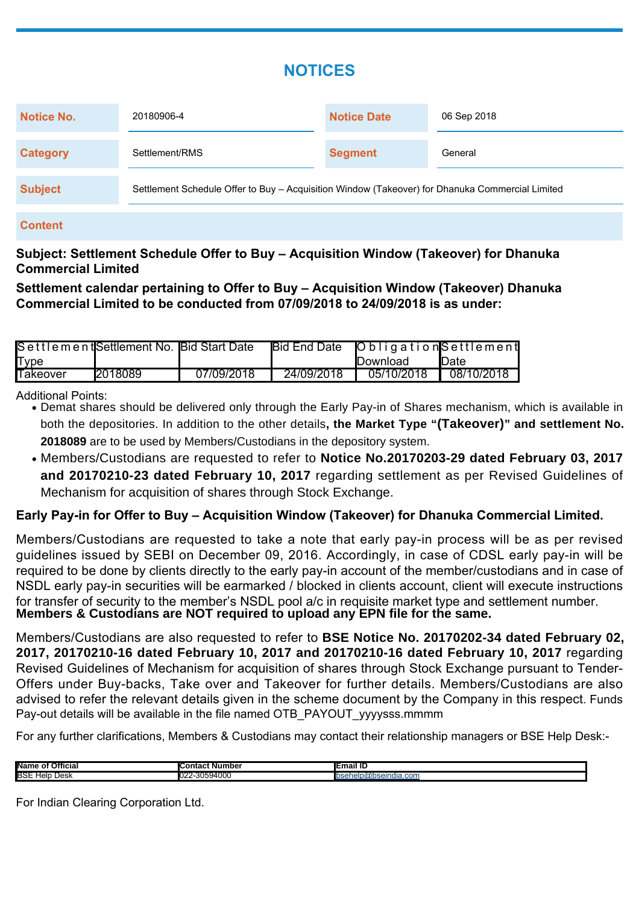# **NOTICES**

| Notice No.      | 20180906-4                                                                                      | <b>Notice Date</b> | 06 Sep 2018 |  |  |
|-----------------|-------------------------------------------------------------------------------------------------|--------------------|-------------|--|--|
| <b>Category</b> | Settlement/RMS                                                                                  | <b>Segment</b>     | General     |  |  |
| <b>Subject</b>  | Settlement Schedule Offer to Buy – Acquisition Window (Takeover) for Dhanuka Commercial Limited |                    |             |  |  |

#### **Content**

## **Subject: Settlement Schedule Offer to Buy – Acquisition Window (Takeover) for Dhanuka Commercial Limited**

**Settlement calendar pertaining to Offer to Buy – Acquisition Window (Takeover) Dhanuka Commercial Limited to be conducted from 07/09/2018 to 24/09/2018 is as under:**

|                 | Settlement Settlement No. Bid Start Date |            |            | Bid End Date   Obligation Settlement                         |            |
|-----------------|------------------------------------------|------------|------------|--------------------------------------------------------------|------------|
| <b>Type</b>     |                                          |            |            | <b>IDownload</b>                                             | Date       |
| <b>Takeover</b> | 12018089                                 | 07/09/2018 | 24/09/2018 | $\overline{\phantom{0}}$ 05/10/2018 $\overline{\phantom{0}}$ | 08/10/2018 |

#### Additional Points:

- Demat shares should be delivered only through the Early Pay-in of Shares mechanism, which is available in both the depositories. In addition to the other details**, the Market Type "(Takeover)" and settlement No. 2018089** are to be used by Members/Custodians in the depository system.
- Members/Custodians are requested to refer to **Notice No.20170203-29 dated February 03, 2017 and 20170210-23 dated February 10, 2017** regarding settlement as per Revised Guidelines of Mechanism for acquisition of shares through Stock Exchange.

### **Early Pay-in for Offer to Buy – Acquisition Window (Takeover) for Dhanuka Commercial Limited.**

Members/Custodians are requested to take a note that early pay-in process will be as per revised guidelines issued by SEBI on December 09, 2016. Accordingly, in case of CDSL early pay-in will be required to be done by clients directly to the early pay-in account of the member/custodians and in case of NSDL early pay-in securities will be earmarked / blocked in clients account, client will execute instructions for transfer of security to the member's NSDL pool a/c in requisite market type and settlement number. **Members & Custodians are NOT required to upload any EPN file for the same.**

Members/Custodians are also requested to refer to **BSE Notice No. 20170202-34 dated February 02, 2017, 20170210-16 dated February 10, 2017 and 20170210-16 dated February 10, 2017** regarding Revised Guidelines of Mechanism for acquisition of shares through Stock Exchange pursuant to Tender-Offers under Buy-backs, Take over and Takeover for further details. Members/Custodians are also advised to refer the relevant details given in the scheme document by the Company in this respect. Funds Pay-out details will be available in the file named OTB\_PAYOUT\_vyyysss.mmmm

For any further clarifications, Members & Custodians may contact their relationship managers or BSE Help Desk:-

| <b>Name</b><br>Official             | . Number<br>٦r<br>час.                            | unan n                  |
|-------------------------------------|---------------------------------------------------|-------------------------|
| <b>BSE</b><br>Help<br>باعدا<br>LESR | $\sim$<br>.<br>$\mathbf{z}$<br>- ~^394∩∩∩<br>IUZ. | las Canala<br>undia.com |

For Indian Clearing Corporation Ltd.